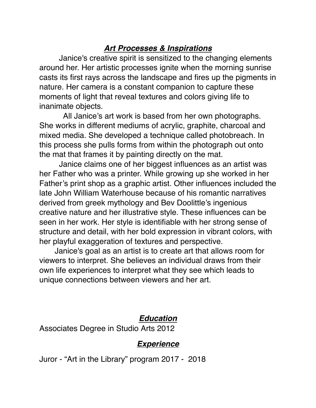# *Art Processes & Inspirations*

 Janice's creative spirit is sensitized to the changing elements around her. Her artistic processes ignite when the morning sunrise casts its first rays across the landscape and fires up the pigments in nature. Her camera is a constant companion to capture these moments of light that reveal textures and colors giving life to inanimate objects.

 All Janice's art work is based from her own photographs. She works in different mediums of acrylic, graphite, charcoal and mixed media. She developed a technique called photobreach. In this process she pulls forms from within the photograph out onto the mat that frames it by painting directly on the mat.

 Janice claims one of her biggest influences as an artist was her Father who was a printer. While growing up she worked in her Father's print shop as a graphic artist. Other influences included the late John William Waterhouse because of his romantic narratives derived from greek mythology and Bev Doolittle's ingenious creative nature and her illustrative style. These influences can be seen in her work. Her style is identifiable with her strong sense of structure and detail, with her bold expression in vibrant colors, with her playful exaggeration of textures and perspective.

 Janice's goal as an artist is to create art that allows room for viewers to interpret. She believes an individual draws from their own life experiences to interpret what they see which leads to unique connections between viewers and her art.

#### *Education*

Associates Degree in Studio Arts 2012

### *Experience*

Juror - "Art in the Library" program 2017 - 2018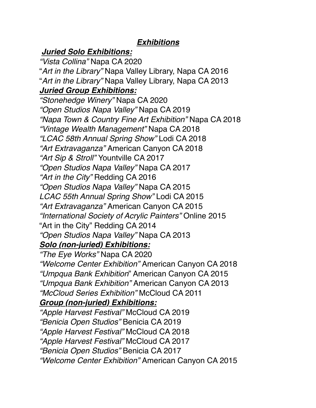### *Exhibitions*

# *Juried Solo Exhibitions:*

*"Vista Collina"* Napa CA 2020 "*Art in the Library"* Napa Valley Library, Napa CA 2016 "*Art in the Library"* Napa Valley Library, Napa CA 2013 *Juried Group Exhibitions: "Stonehedge Winery"* Napa CA 2020 *"Open Studios Napa Valley"* Napa CA 2019 *"Napa Town & Country Fine Art Exhibition"* Napa CA 2018 *"Vintage Wealth Management"* Napa CA 2018 *"LCAC 58th Annual Spring Show"* Lodi CA 2018 *"Art Extravaganza"* American Canyon CA 2018 *"Art Sip & Stroll"* Yountville CA 2017 *"Open Studios Napa Valley"* Napa CA 2017 *"Art in the City"* Redding CA 2016 *"Open Studios Napa Valley"* Napa CA 2015 *LCAC 55th Annual Spring Show"* Lodi CA 2015 *"Art Extravaganza"* American Canyon CA 2015 *"International Society of Acrylic Painters"* Online 2015 "Art in the City" Redding CA 2014 *"Open Studios Napa Valley"* Napa CA 2013 *Solo (non-juried) Exhibitions: "The Eye Works"* Napa CA 2020 *"Welcome Center Exhibition"* American Canyon CA 2018 *"Umpqua Bank Exhibition*" American Canyon CA 2015 *"Umpqua Bank Exhibition"* American Canyon CA 2013 *"McCloud Series Exhibition"* McCloud CA 2011 *Group (non-juried) Exhibitions: "Apple Harvest Festival"* McCloud CA 2019 *"Benicia Open Studios"* Benicia CA 2019 *"Apple Harvest Festival"* McCloud CA 2018 *"Apple Harvest Festival"* McCloud CA 2017 *"Benicia Open Studios"* Benicia CA 2017 *"Welcome Center Exhibition"* American Canyon CA 2015